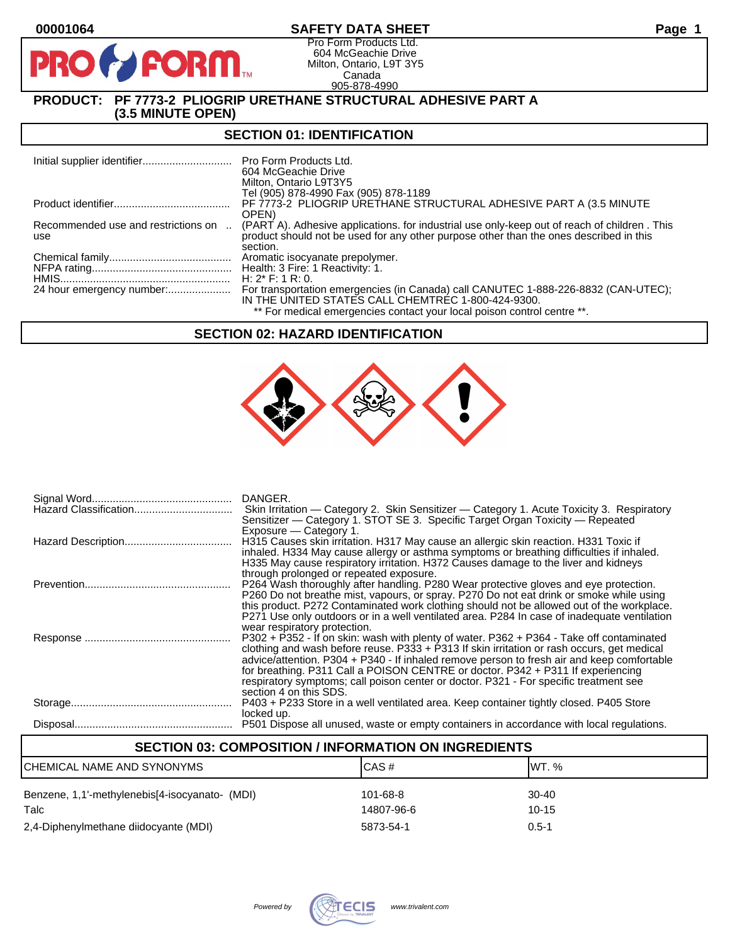# **00001064 SAFETY DATA SHEET Page 1**

Pro Form Products Ltd. 604 McGeachie Drive Milton, Ontario, L9T 3Y5 Canada 905-878-4990

# **PRODUCT: PF 7773-2 PLIOGRIP URETHANE STRUCTURAL ADHESIVE PART A (3.5 MINUTE OPEN)**

**PORM** 

### **SECTION 01: IDENTIFICATION**

|                                            | Pro Form Products Ltd.<br>604 McGeachie Drive<br>Milton, Ontario L9T3Y5                                                                                                                            |
|--------------------------------------------|----------------------------------------------------------------------------------------------------------------------------------------------------------------------------------------------------|
|                                            | Tel (905) 878-4990 Fax (905) 878-1189                                                                                                                                                              |
|                                            | PF 7773-2 PLIOGRIP URETHANE STRUCTURAL ADHESIVE PART A (3.5 MINUTE<br>OPEN)                                                                                                                        |
| Recommended use and restrictions on<br>use | (PART A). Adhesive applications, for industrial use only-keep out of reach of children, This<br>product should not be used for any other purpose other than the ones described in this<br>section. |
|                                            | Aromatic isocyanate prepolymer.                                                                                                                                                                    |
|                                            | Health: 3 Fire: 1 Reactivity: 1.                                                                                                                                                                   |
|                                            | H: $2^*$ F: 1 R: 0.                                                                                                                                                                                |
| 24 hour emergency number:                  | For transportation emergencies (in Canada) call CANUTEC 1-888-226-8832 (CAN-UTEC);                                                                                                                 |
|                                            | IN THE UNITED STATES CALL CHEMTREC 1-800-424-9300.                                                                                                                                                 |
|                                            | ** For medical emergencies contact your local poison control centre **.                                                                                                                            |

### **SECTION 02: HAZARD IDENTIFICATION**



|                       | DANGER.                                                                                                                                                                                  |
|-----------------------|------------------------------------------------------------------------------------------------------------------------------------------------------------------------------------------|
| Hazard Classification | Skin Irritation — Category 2. Skin Sensitizer — Category 1. Acute Toxicity 3. Respiratory                                                                                                |
|                       | Sensitizer — Category 1. STOT SE 3. Specific Target Organ Toxicity — Repeated                                                                                                            |
|                       | Exposure – Category 1.                                                                                                                                                                   |
|                       | H315 Causes skin irritation. H317 May cause an allergic skin reaction. H331 Toxic if                                                                                                     |
|                       | inhaled. H334 May cause allergy or asthma symptoms or breathing difficulties if inhaled.                                                                                                 |
|                       | H335 May cause respiratory irritation. H372 Causes damage to the liver and kidneys                                                                                                       |
|                       | through prolonged or repeated exposure.                                                                                                                                                  |
|                       | P264 Wash thoroughly after handling. P280 Wear protective gloves and eye protection.                                                                                                     |
|                       | P260 Do not breathe mist, vapours, or spray. P270 Do not eat drink or smoke while using                                                                                                  |
|                       | this product. P272 Contaminated work clothing should not be allowed out of the workplace.<br>P271 Use only outdoors or in a well ventilated area. P284 In case of inadequate ventilation |
|                       | wear respiratory protection.                                                                                                                                                             |
|                       | P302 + P352 - If on skin: wash with plenty of water. P362 + P364 - Take off contaminated                                                                                                 |
|                       | clothing and wash before reuse. $P333 + P313$ If skin irritation or rash occurs, get medical                                                                                             |
|                       | advice/attention. P304 + P340 - If inhaled remove person to fresh air and keep comfortable                                                                                               |
|                       | for breathing. P311 Call a POISON CENTRE or doctor. P342 + P311 If experiencing                                                                                                          |
|                       | respiratory symptoms; call poison center or doctor. P321 - For specific treatment see                                                                                                    |
|                       | section 4 on this SDS.                                                                                                                                                                   |
|                       | P403 + P233 Store in a well ventilated area. Keep container tightly closed. P405 Store                                                                                                   |
|                       | locked up.                                                                                                                                                                               |
|                       |                                                                                                                                                                                          |
|                       | P501 Dispose all unused, waste or empty containers in accordance with local regulations.                                                                                                 |

# **SECTION 03: COMPOSITION / INFORMATION ON INGREDIENTS** CHEMICAL NAME AND SYNONYMS CAS # CAS # WT. % Benzene, 1,1'-methylenebis[4-isocyanato- (MDI) 101-68-8 30-40 Talc 14807-96-6 10-15

2,4-Diphenylmethane diidocyante (MDI) 5873-54-1 0.5-1

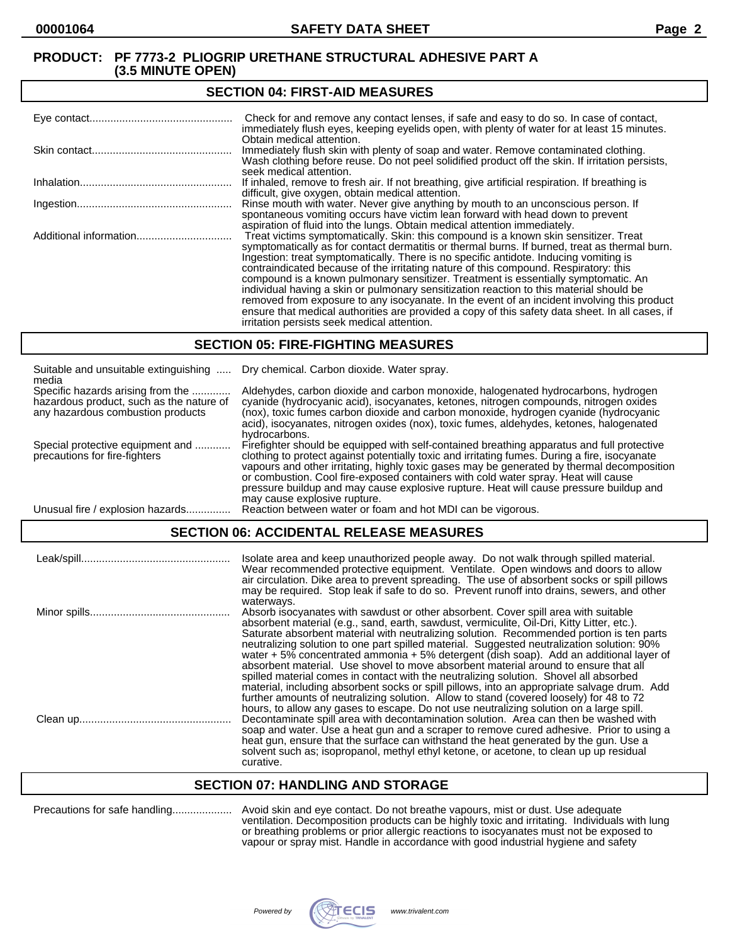#### **SECTION 04: FIRST-AID MEASURES**

| Check for and remove any contact lenses, if safe and easy to do so. In case of contact,<br>immediately flush eyes, keeping eyelids open, with plenty of water for at least 15 minutes.                                                                                                                                                                                                                                                                                                                                                                                                                                                                                                                                                                                                                   |
|----------------------------------------------------------------------------------------------------------------------------------------------------------------------------------------------------------------------------------------------------------------------------------------------------------------------------------------------------------------------------------------------------------------------------------------------------------------------------------------------------------------------------------------------------------------------------------------------------------------------------------------------------------------------------------------------------------------------------------------------------------------------------------------------------------|
| Obtain medical attention.<br>Immediately flush skin with plenty of soap and water. Remove contaminated clothing.<br>Wash clothing before reuse. Do not peel solidified product off the skin. If irritation persists,<br>seek medical attention.                                                                                                                                                                                                                                                                                                                                                                                                                                                                                                                                                          |
| If inhaled, remove to fresh air. If not breathing, give artificial respiration. If breathing is<br>difficult, give oxygen, obtain medical attention.                                                                                                                                                                                                                                                                                                                                                                                                                                                                                                                                                                                                                                                     |
| Rinse mouth with water. Never give anything by mouth to an unconscious person. If<br>spontaneous vomiting occurs have victim lean forward with head down to prevent<br>aspiration of fluid into the lungs. Obtain medical attention immediately.                                                                                                                                                                                                                                                                                                                                                                                                                                                                                                                                                         |
| Treat victims symptomatically. Skin: this compound is a known skin sensitizer. Treat<br>symptomatically as for contact dermatitis or thermal burns. If burned, treat as thermal burn.<br>Ingestion: treat symptomatically. There is no specific antidote. Inducing vomiting is<br>contraindicated because of the irritating nature of this compound. Respiratory: this<br>compound is a known pulmonary sensitizer. Treatment is essentially symptomatic. An<br>individual having a skin or pulmonary sensitization reaction to this material should be<br>removed from exposure to any isocyanate. In the event of an incident involving this product<br>ensure that medical authorities are provided a copy of this safety data sheet. In all cases, if<br>irritation persists seek medical attention. |

### **SECTION 05: FIRE-FIGHTING MEASURES**

| Suitable and unsuitable extinguishing<br>media                                                                     | Dry chemical. Carbon dioxide. Water spray.                                                                                                                                                                                                                                                                                                                                                                                                                                                                |
|--------------------------------------------------------------------------------------------------------------------|-----------------------------------------------------------------------------------------------------------------------------------------------------------------------------------------------------------------------------------------------------------------------------------------------------------------------------------------------------------------------------------------------------------------------------------------------------------------------------------------------------------|
| Specific hazards arising from the<br>hazardous product, such as the nature of<br>any hazardous combustion products | Aldehydes, carbon dioxide and carbon monoxide, halogenated hydrocarbons, hydrogen<br>cyanide (hydrocyanic acid), isocyanates, ketones, nitrogen compounds, nitrogen oxides<br>(nox), toxic fumes carbon dioxide and carbon monoxide, hydrogen cyanide (hydrocyanic<br>acid), isocyanates, nitrogen oxides (nox), toxic fumes, aldehydes, ketones, halogenated<br>hydrocarbons.                                                                                                                            |
| Special protective equipment and<br>precautions for fire-fighters                                                  | Firefighter should be equipped with self-contained breathing apparatus and full protective<br>clothing to protect against potentially toxic and irritating fumes. During a fire, isocyanate<br>vapours and other irritating, highly toxic gases may be generated by thermal decomposition<br>or combustion. Cool fire-exposed containers with cold water spray. Heat will cause<br>pressure buildup and may cause explosive rupture. Heat will cause pressure buildup and<br>may cause explosive rupture. |
| Unusual fire / explosion hazards.                                                                                  | Reaction between water or foam and hot MDI can be vigorous.                                                                                                                                                                                                                                                                                                                                                                                                                                               |

# **SECTION 06: ACCIDENTAL RELEASE MEASURES**

| Isolate area and keep unauthorized people away. Do not walk through spilled material.<br>Wear recommended protective equipment. Ventilate. Open windows and doors to allow<br>air circulation. Dike area to prevent spreading. The use of absorbent socks or spill pillows<br>may be required. Stop leak if safe to do so. Prevent runoff into drains, sewers, and other                                                                                                                                                                                                                                                                                                                                                                                     |
|--------------------------------------------------------------------------------------------------------------------------------------------------------------------------------------------------------------------------------------------------------------------------------------------------------------------------------------------------------------------------------------------------------------------------------------------------------------------------------------------------------------------------------------------------------------------------------------------------------------------------------------------------------------------------------------------------------------------------------------------------------------|
| waterways.<br>Absorb isocyanates with sawdust or other absorbent. Cover spill area with suitable<br>absorbent material (e.g., sand, earth, sawdust, vermiculite, Oil-Dri, Kitty Litter, etc.).<br>Saturate absorbent material with neutralizing solution. Recommended portion is ten parts<br>neutralizing solution to one part spilled material. Suggested neutralization solution: 90%<br>water + 5% concentrated ammonia + 5% detergent (dish soap). Add an additional layer of<br>absorbent material. Use shovel to move absorbent material around to ensure that all                                                                                                                                                                                    |
| spilled material comes in contact with the neutralizing solution. Shovel all absorbed<br>material, including absorbent socks or spill pillows, into an appropriate salvage drum. Add<br>further amounts of neutralizing solution. Allow to stand (covered loosely) for 48 to 72<br>hours, to allow any gases to escape. Do not use neutralizing solution on a large spill.<br>Decontaminate spill area with decontamination solution. Area can then be washed with<br>soap and water. Use a heat gun and a scraper to remove cured adhesive. Prior to using a<br>heat gun, ensure that the surface can withstand the heat generated by the gun. Use a<br>solvent such as; isopropanol, methyl ethyl ketone, or acetone, to clean up up residual<br>curative. |

# **SECTION 07: HANDLING AND STORAGE**

|  | Precautions for safe handling |  |
|--|-------------------------------|--|
|--|-------------------------------|--|

Precautions for safe handling.................... Avoid skin and eye contact. Do not breathe vapours, mist or dust. Use adequate ventilation. Decomposition products can be highly toxic and irritating. Individuals with lung or breathing problems or prior allergic reactions to isocyanates must not be exposed to vapour or spray mist. Handle in accordance with good industrial hygiene and safety

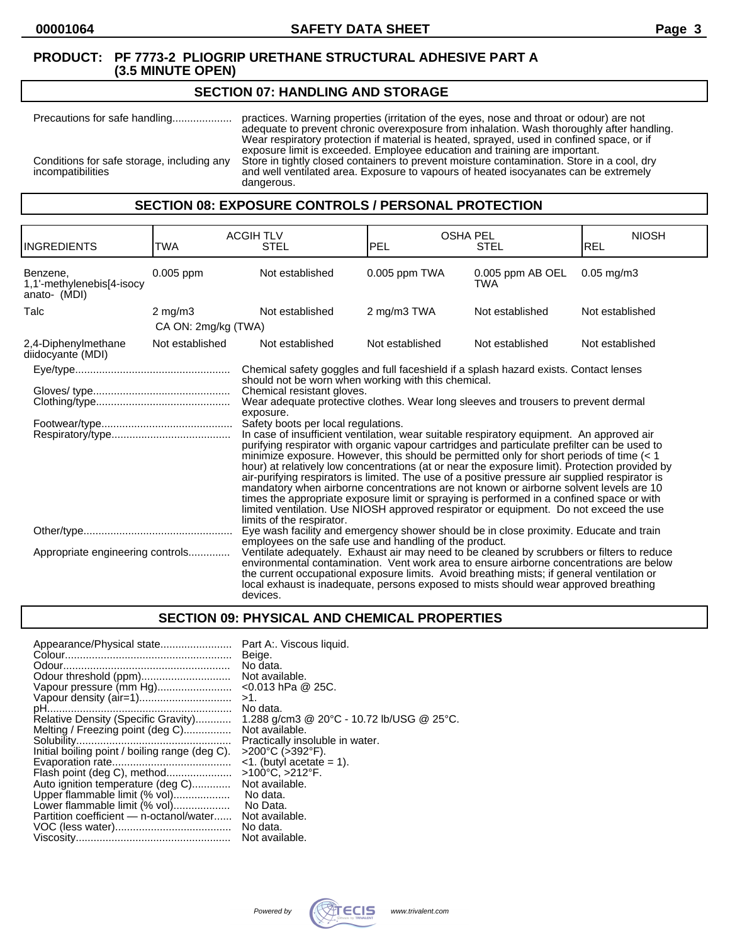### **SECTION 07: HANDLING AND STORAGE**

Precautions for safe handling.................... practices. Warning properties (irritation of the eyes, nose and throat or odour) are not adequate to prevent chronic overexposure from inhalation. Wash thoroughly after handling. Wear respiratory protection if material is heated, sprayed, used in confined space, or if exposure limit is exceeded. Employee education and training are important. Conditions for safe storage, including any Store in tightly closed containers to prevent moisture contamination. Store in a cool, dry incompatibilities and well ventilated area. Exposure to vapours of heated isocyanates can be extremely dangerous.

# **SECTION 08: EXPOSURE CONTROLS / PERSONAL PROTECTION**

| <b>INGREDIENTS</b>                                    | TWA                 | <b>ACGIH TLV</b><br><b>STEL</b>                                                                                                                                                                                                                                                                                                                                                                                                                                                                                                                                                                                                                                                                                                                                                                                                                                                                                                                                                                                 | <b>OSHA PEL</b><br><b>PEL</b><br><b>STEL</b> |                         | <b>NIOSH</b><br>REL |
|-------------------------------------------------------|---------------------|-----------------------------------------------------------------------------------------------------------------------------------------------------------------------------------------------------------------------------------------------------------------------------------------------------------------------------------------------------------------------------------------------------------------------------------------------------------------------------------------------------------------------------------------------------------------------------------------------------------------------------------------------------------------------------------------------------------------------------------------------------------------------------------------------------------------------------------------------------------------------------------------------------------------------------------------------------------------------------------------------------------------|----------------------------------------------|-------------------------|---------------------|
| Benzene,<br>1,1'-methylenebis[4-isocy<br>anato- (MDI) | 0.005 ppm           | Not established                                                                                                                                                                                                                                                                                                                                                                                                                                                                                                                                                                                                                                                                                                                                                                                                                                                                                                                                                                                                 | 0.005 ppm TWA                                | 0.005 ppm AB OEL<br>TWA | $0.05$ mg/m $3$     |
| Talc                                                  | $2 \text{ mg/m}$    | Not established                                                                                                                                                                                                                                                                                                                                                                                                                                                                                                                                                                                                                                                                                                                                                                                                                                                                                                                                                                                                 | 2 mg/m3 TWA                                  | Not established         | Not established     |
|                                                       | CA ON: 2mg/kg (TWA) |                                                                                                                                                                                                                                                                                                                                                                                                                                                                                                                                                                                                                                                                                                                                                                                                                                                                                                                                                                                                                 |                                              |                         |                     |
| 2,4-Diphenylmethane<br>diidocyante (MDI)              | Not established     | Not established                                                                                                                                                                                                                                                                                                                                                                                                                                                                                                                                                                                                                                                                                                                                                                                                                                                                                                                                                                                                 | Not established                              | Not established         | Not established     |
|                                                       |                     | Chemical safety goggles and full faceshield if a splash hazard exists. Contact lenses                                                                                                                                                                                                                                                                                                                                                                                                                                                                                                                                                                                                                                                                                                                                                                                                                                                                                                                           |                                              |                         |                     |
|                                                       |                     | should not be worn when working with this chemical.<br>Chemical resistant gloves.<br>Wear adequate protective clothes. Wear long sleeves and trousers to prevent dermal<br>exposure.<br>Safety boots per local regulations.<br>In case of insufficient ventilation, wear suitable respiratory equipment. An approved air<br>purifying respirator with organic vapour cartridges and particulate prefilter can be used to<br>minimize exposure. However, this should be permitted only for short periods of time $(1hour) at relatively low concentrations (at or near the exposure limit). Protection provided byair-purifying respirators is limited. The use of a positive pressure air supplied respirator ismandatory when airborne concentrations are not known or airborne solvent levels are 10times the appropriate exposure limit or spraying is performed in a confined space or withlimited ventilation. Use NIOSH approved respirator or equipment. Do not exceed the uselimits of the respirator.$ |                                              |                         |                     |
| Appropriate engineering controls                      |                     | Eye wash facility and emergency shower should be in close proximity. Educate and train<br>employees on the safe use and handling of the product.<br>Ventilate adequately. Exhaust air may need to be cleaned by scrubbers or filters to reduce<br>environmental contamination. Vent work area to ensure airborne concentrations are below<br>the current occupational exposure limits. Avoid breathing mists; if general ventilation or<br>local exhaust is inadequate, persons exposed to mists should wear approved breathing<br>devices.                                                                                                                                                                                                                                                                                                                                                                                                                                                                     |                                              |                         |                     |

# **SECTION 09: PHYSICAL AND CHEMICAL PROPERTIES**

| Appearance/Physical state<br>Vapour pressure (mm Hg)<br>Vapour density (air=1)<br>Relative Density (Specific Gravity)<br>Melting / Freezing point (deg C)<br>Initial boiling point / boiling range (deg C).<br>Flash point (deg C), method<br>Auto ignition temperature (deg C)<br>Upper flammable limit (% vol) | Part A:. Viscous liquid.<br>Beige.<br>No data.<br>Not available.<br>$<$ 0.013 hPa @ 25C.<br>>1.<br>No data.<br>1.288 g/cm3 @ 20°C - 10.72 lb/USG @ 25°C.<br>Not available.<br>Practically insoluble in water.<br>>200°C (>392°F).<br>$\leq$ 1. (butyl acetate = 1).<br>>100°C, >212°F.<br>Not available.<br>No data.<br>No Data. |
|------------------------------------------------------------------------------------------------------------------------------------------------------------------------------------------------------------------------------------------------------------------------------------------------------------------|----------------------------------------------------------------------------------------------------------------------------------------------------------------------------------------------------------------------------------------------------------------------------------------------------------------------------------|
|                                                                                                                                                                                                                                                                                                                  |                                                                                                                                                                                                                                                                                                                                  |
| Lower flammable limit (% vol)<br>Partition coefficient - n-octanol/water                                                                                                                                                                                                                                         | Not available.<br>No data.<br>Not available.                                                                                                                                                                                                                                                                                     |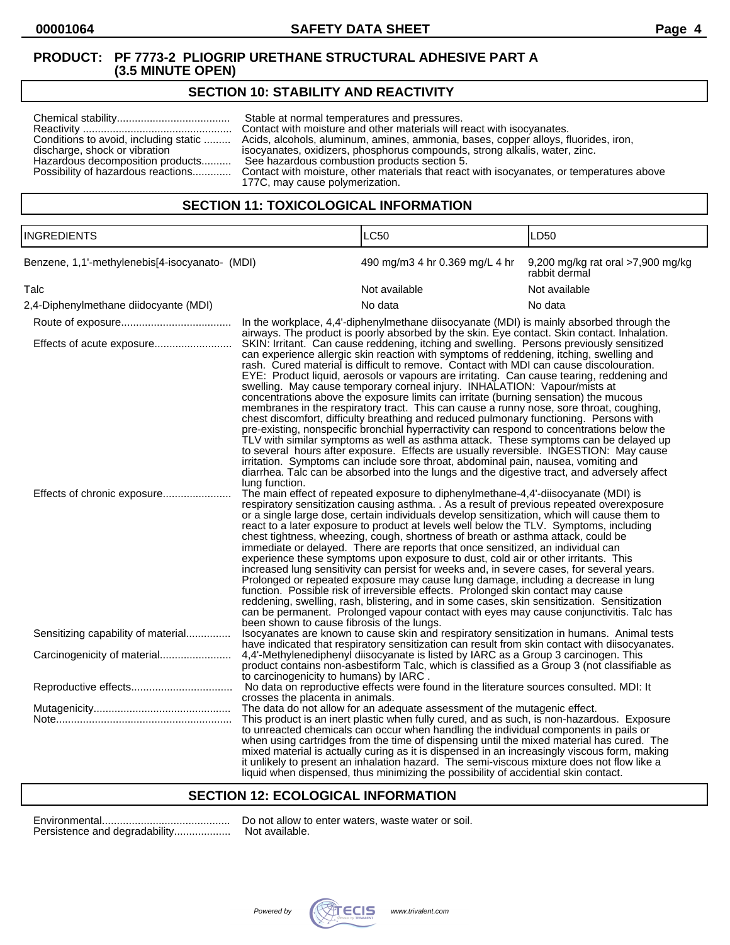# **SECTION 10: STABILITY AND REACTIVITY**

| Conditions to avoid, including static<br>discharge, shock or vibration<br>Hazardous decomposition products<br>Possibility of hazardous reactions | Stable at normal temperatures and pressures.<br>Contact with moisture and other materials will react with isocyanates.<br>Acids, alcohols, aluminum, amines, ammonia, bases, copper alloys, fluorides, iron,<br>isocyanates, oxidizers, phosphorus compounds, strong alkalis, water, zinc.<br>See hazardous combustion products section 5.<br>Contact with moisture, other materials that react with isocyanates, or temperatures above<br>177C, may cause polymerization. |
|--------------------------------------------------------------------------------------------------------------------------------------------------|----------------------------------------------------------------------------------------------------------------------------------------------------------------------------------------------------------------------------------------------------------------------------------------------------------------------------------------------------------------------------------------------------------------------------------------------------------------------------|
|--------------------------------------------------------------------------------------------------------------------------------------------------|----------------------------------------------------------------------------------------------------------------------------------------------------------------------------------------------------------------------------------------------------------------------------------------------------------------------------------------------------------------------------------------------------------------------------------------------------------------------------|

# **SECTION 11: TOXICOLOGICAL INFORMATION**

| <b>INGREDIENTS</b>                             |                                                                                                                                                                                                                                                                                                                                                                                                                                                                                                                                                                                                                                                                                                                                                                                                                                                                                                                                                                                                                                                                                                                                                                                                                                                                                                          | <b>LC50</b>                                                                                                                                                                                                                                                                                                                                                                                                                                                                                                                                                          | LD50                                               |  |
|------------------------------------------------|----------------------------------------------------------------------------------------------------------------------------------------------------------------------------------------------------------------------------------------------------------------------------------------------------------------------------------------------------------------------------------------------------------------------------------------------------------------------------------------------------------------------------------------------------------------------------------------------------------------------------------------------------------------------------------------------------------------------------------------------------------------------------------------------------------------------------------------------------------------------------------------------------------------------------------------------------------------------------------------------------------------------------------------------------------------------------------------------------------------------------------------------------------------------------------------------------------------------------------------------------------------------------------------------------------|----------------------------------------------------------------------------------------------------------------------------------------------------------------------------------------------------------------------------------------------------------------------------------------------------------------------------------------------------------------------------------------------------------------------------------------------------------------------------------------------------------------------------------------------------------------------|----------------------------------------------------|--|
| Benzene, 1,1'-methylenebis[4-isocyanato- (MDI) |                                                                                                                                                                                                                                                                                                                                                                                                                                                                                                                                                                                                                                                                                                                                                                                                                                                                                                                                                                                                                                                                                                                                                                                                                                                                                                          | 490 mg/m3 4 hr 0.369 mg/L 4 hr                                                                                                                                                                                                                                                                                                                                                                                                                                                                                                                                       | 9,200 mg/kg rat oral >7,900 mg/kg<br>rabbit dermal |  |
| Talc                                           |                                                                                                                                                                                                                                                                                                                                                                                                                                                                                                                                                                                                                                                                                                                                                                                                                                                                                                                                                                                                                                                                                                                                                                                                                                                                                                          | Not available                                                                                                                                                                                                                                                                                                                                                                                                                                                                                                                                                        | Not available                                      |  |
| 2,4-Diphenylmethane diidocyante (MDI)          |                                                                                                                                                                                                                                                                                                                                                                                                                                                                                                                                                                                                                                                                                                                                                                                                                                                                                                                                                                                                                                                                                                                                                                                                                                                                                                          | No data                                                                                                                                                                                                                                                                                                                                                                                                                                                                                                                                                              | No data                                            |  |
|                                                |                                                                                                                                                                                                                                                                                                                                                                                                                                                                                                                                                                                                                                                                                                                                                                                                                                                                                                                                                                                                                                                                                                                                                                                                                                                                                                          | In the workplace, 4,4'-diphenylmethane diisocyanate (MDI) is mainly absorbed through the                                                                                                                                                                                                                                                                                                                                                                                                                                                                             |                                                    |  |
| Effects of acute exposure                      | airways. The product is poorly absorbed by the skin. Eye contact. Skin contact. Inhalation.<br>SKIN: Irritant. Can cause reddening, itching and swelling. Persons previously sensitized<br>can experience allergic skin reaction with symptoms of reddening, itching, swelling and<br>rash. Cured material is difficult to remove. Contact with MDI can cause discolouration.<br>EYE: Product liquid, aerosols or vapours are irritating. Can cause tearing, reddening and<br>swelling. May cause temporary corneal injury. INHALATION: Vapour/mists at<br>concentrations above the exposure limits can irritate (burning sensation) the mucous<br>membranes in the respiratory tract. This can cause a runny nose, sore throat, coughing,<br>chest discomfort, difficulty breathing and reduced pulmonary functioning. Persons with<br>pre-existing, nonspecific bronchial hyperractivity can respond to concentrations below the<br>TLV with similar symptoms as well as asthma attack. These symptoms can be delayed up<br>to several hours after exposure. Effects are usually reversible. INGESTION: May cause<br>irritation. Symptoms can include sore throat, abdominal pain, nausea, vomiting and<br>diarrhea. Talc can be absorbed into the lungs and the digestive tract, and adversely affect |                                                                                                                                                                                                                                                                                                                                                                                                                                                                                                                                                                      |                                                    |  |
|                                                | lung function.<br>The main effect of repeated exposure to diphenylmethane-4,4'-diisocyanate (MDI) is<br>respiratory sensitization causing asthma. . As a result of previous repeated overexposure<br>or a single large dose, certain individuals develop sensitization, which will cause them to<br>react to a later exposure to product at levels well below the TLV. Symptoms, including<br>chest tightness, wheezing, cough, shortness of breath or asthma attack, could be<br>immediate or delayed. There are reports that once sensitized, an individual can<br>experience these symptoms upon exposure to dust, cold air or other irritants. This<br>increased lung sensitivity can persist for weeks and, in severe cases, for several years.<br>Prolonged or repeated exposure may cause lung damage, including a decrease in lung<br>function. Possible risk of irreversible effects. Prolonged skin contact may cause<br>reddening, swelling, rash, blistering, and in some cases, skin sensitization. Sensitization<br>can be permanent. Prolonged vapour contact with eyes may cause conjunctivitis. Talc has                                                                                                                                                                                |                                                                                                                                                                                                                                                                                                                                                                                                                                                                                                                                                                      |                                                    |  |
| Sensitizing capability of material             | been shown to cause fibrosis of the lungs.<br>Isocyanates are known to cause skin and respiratory sensitization in humans. Animal tests<br>have indicated that respiratory sensitization can result from skin contact with diisocyanates.                                                                                                                                                                                                                                                                                                                                                                                                                                                                                                                                                                                                                                                                                                                                                                                                                                                                                                                                                                                                                                                                |                                                                                                                                                                                                                                                                                                                                                                                                                                                                                                                                                                      |                                                    |  |
|                                                | 4,4'-Methylenediphenyl diisocyanate is listed by IARC as a Group 3 carcinogen. This<br>product contains non-asbestiform Talc, which is classified as a Group 3 (not classifiable as<br>to carcinogenicity to humans) by IARC.                                                                                                                                                                                                                                                                                                                                                                                                                                                                                                                                                                                                                                                                                                                                                                                                                                                                                                                                                                                                                                                                            |                                                                                                                                                                                                                                                                                                                                                                                                                                                                                                                                                                      |                                                    |  |
|                                                | crosses the placenta in animals.                                                                                                                                                                                                                                                                                                                                                                                                                                                                                                                                                                                                                                                                                                                                                                                                                                                                                                                                                                                                                                                                                                                                                                                                                                                                         | No data on reproductive effects were found in the literature sources consulted. MDI: It                                                                                                                                                                                                                                                                                                                                                                                                                                                                              |                                                    |  |
|                                                |                                                                                                                                                                                                                                                                                                                                                                                                                                                                                                                                                                                                                                                                                                                                                                                                                                                                                                                                                                                                                                                                                                                                                                                                                                                                                                          | The data do not allow for an adequate assessment of the mutagenic effect.                                                                                                                                                                                                                                                                                                                                                                                                                                                                                            |                                                    |  |
|                                                |                                                                                                                                                                                                                                                                                                                                                                                                                                                                                                                                                                                                                                                                                                                                                                                                                                                                                                                                                                                                                                                                                                                                                                                                                                                                                                          | This product is an inert plastic when fully cured, and as such, is non-hazardous. Exposure<br>to unreacted chemicals can occur when handling the individual components in pails or<br>when using cartridges from the time of dispensing until the mixed material has cured. The<br>mixed material is actually curing as it is dispensed in an increasingly viscous form, making<br>it unlikely to present an inhalation hazard. The semi-viscous mixture does not flow like a<br>liquid when dispensed, thus minimizing the possibility of accidential skin contact. |                                                    |  |

### **SECTION 12: ECOLOGICAL INFORMATION**

| Persistence and degradability |
|-------------------------------|

Environmental........................................... Do not allow to enter waters, waste water or soil. ..... Not available.

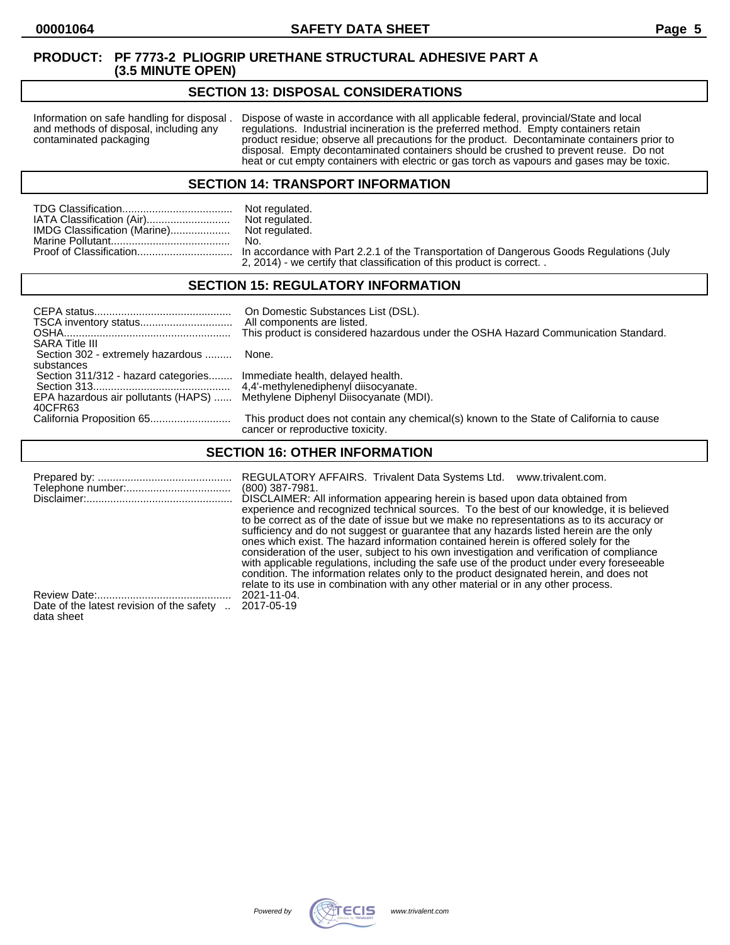### **SECTION 13: DISPOSAL CONSIDERATIONS**

Information on safe handling for disposal . Dispose of waste in accordance with all applicable federal, provincial/State and local and methods of disposal, including any regulations. Industrial incineration is the preferre and methods of disposal, including any regulations. Industrial incineration is the preferred method. Empty containers retain<br>contaminated packaging product residue; observe all precautions for the product. Decontaminate co product residue; observe all precautions for the product. Decontaminate containers prior to disposal. Empty decontaminated containers should be crushed to prevent reuse. Do not heat or cut empty containers with electric or gas torch as vapours and gases may be toxic.

### **SECTION 14: TRANSPORT INFORMATION**

|                              | Not regulated. |
|------------------------------|----------------|
| IATA Classification (Air)    | Not regulated. |
| IMDG Classification (Marine) | Not regulated. |
|                              | No.            |
|                              |                |
|                              |                |

Not regulated. Not regulated.<br>No. n accordance with Part 2.2.1 of the Transportation of Dangerous Goods Regulations (July 2, 2014) - we certify that classification of this product is correct. .

### **SECTION 15: REGULATORY INFORMATION**

| <b>SARA Title III</b>                                                                  | On Domestic Substances List (DSL).<br>All components are listed.<br>This product is considered hazardous under the OSHA Hazard Communication Standard. |
|----------------------------------------------------------------------------------------|--------------------------------------------------------------------------------------------------------------------------------------------------------|
| Section 302 - extremely hazardous  None.                                               |                                                                                                                                                        |
| substances<br>Section 311/312 - hazard categories Immediate health, delayed health.    |                                                                                                                                                        |
| EPA hazardous air pollutants (HAPS)  Methylene Diphenyl Diisocyanate (MDI).<br>40CFR63 |                                                                                                                                                        |
|                                                                                        | This product does not contain any chemical(s) known to the State of California to cause<br>cancer or reproductive toxicity.                            |

# **SECTION 16: OTHER INFORMATION**

|                                           | REGULATORY AFFAIRS. Trivalent Data Systems Ltd.<br>www.trivalent.com.<br>$(800)$ 387-7981.<br>DISCLAIMER: All information appearing herein is based upon data obtained from<br>experience and recognized technical sources. To the best of our knowledge, it is believed<br>to be correct as of the date of issue but we make no representations as to its accuracy or<br>sufficiency and do not suggest or guarantee that any hazards listed herein are the only<br>ones which exist. The hazard information contained herein is offered solely for the<br>consideration of the user, subject to his own investigation and verification of compliance<br>with applicable regulations, including the safe use of the product under every foreseeable<br>condition. The information relates only to the product designated herein, and does not |
|-------------------------------------------|------------------------------------------------------------------------------------------------------------------------------------------------------------------------------------------------------------------------------------------------------------------------------------------------------------------------------------------------------------------------------------------------------------------------------------------------------------------------------------------------------------------------------------------------------------------------------------------------------------------------------------------------------------------------------------------------------------------------------------------------------------------------------------------------------------------------------------------------|
|                                           | relate to its use in combination with any other material or in any other process.                                                                                                                                                                                                                                                                                                                                                                                                                                                                                                                                                                                                                                                                                                                                                              |
| Date of the latest revision of the safety | 2021-11-04.                                                                                                                                                                                                                                                                                                                                                                                                                                                                                                                                                                                                                                                                                                                                                                                                                                    |
| data sheet                                | 2017-05-19                                                                                                                                                                                                                                                                                                                                                                                                                                                                                                                                                                                                                                                                                                                                                                                                                                     |

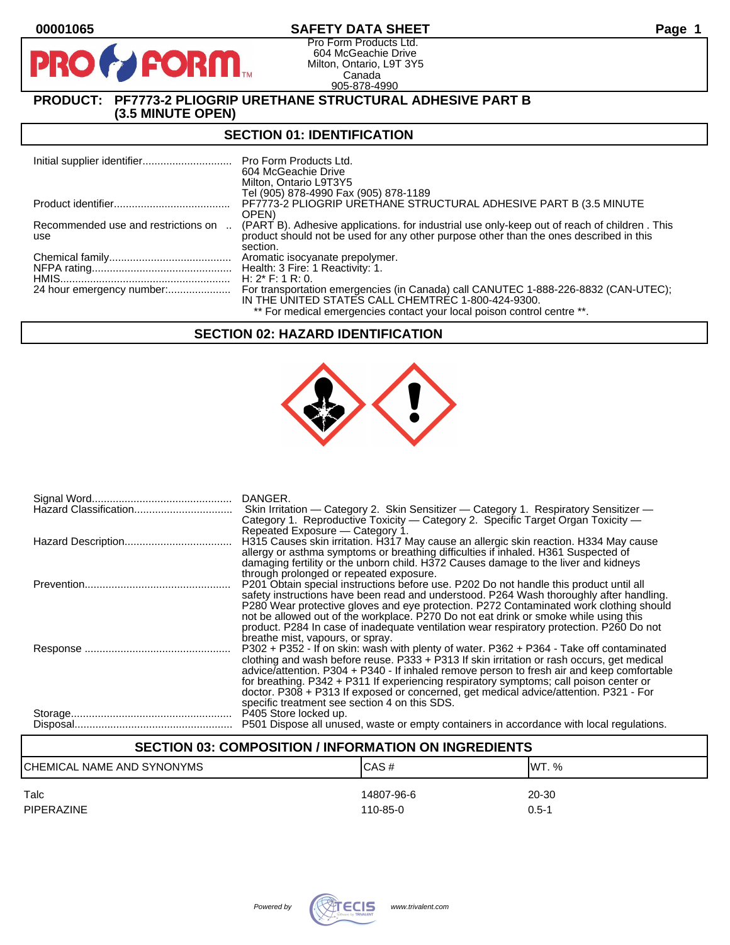# **00001065 SAFETY DATA SHEET Page 1**

Pro Form Products Ltd. 604 McGeachie Drive Milton, Ontario, L9T 3Y5 Canada 905-878-4990

# **PRODUCT: PF7773-2 PLIOGRIP URETHANE STRUCTURAL ADHESIVE PART B (3.5 MINUTE OPEN)**

**PORM** 

# **SECTION 01: IDENTIFICATION**

|                                            | Pro Form Products Ltd.<br>604 McGeachie Drive<br>Milton, Ontario L9T3Y5                                                                                                                |
|--------------------------------------------|----------------------------------------------------------------------------------------------------------------------------------------------------------------------------------------|
|                                            | Tel (905) 878-4990 Fax (905) 878-1189                                                                                                                                                  |
|                                            | PF7773-2 PLIOGRIP URETHANE STRUCTURAL ADHESIVE PART B (3.5 MINUTE)                                                                                                                     |
|                                            | OPEN)                                                                                                                                                                                  |
| Recommended use and restrictions on<br>use | (PART B). Adhesive applications, for industrial use only-keep out of reach of children. This<br>product should not be used for any other purpose other than the ones described in this |
|                                            | section.                                                                                                                                                                               |
|                                            | Aromatic isocyanate prepolymer.                                                                                                                                                        |
|                                            |                                                                                                                                                                                        |
|                                            | H: $2^*$ F: 1 R: 0.                                                                                                                                                                    |
|                                            |                                                                                                                                                                                        |
|                                            | IN THE UNITED STATES CALL CHEMTREC 1-800-424-9300.                                                                                                                                     |
|                                            | ** For medical emergencies contact your local poison control centre **.                                                                                                                |

# **SECTION 02: HAZARD IDENTIFICATION**



| DANGER.                                                                                                                                                                                |
|----------------------------------------------------------------------------------------------------------------------------------------------------------------------------------------|
| Skin Irritation — Category 2. Skin Sensitizer — Category 1. Respiratory Sensitizer —                                                                                                   |
| Category 1. Reproductive Toxicity — Category 2. Specific Target Organ Toxicity —                                                                                                       |
| Repeated Exposure – Category 1.                                                                                                                                                        |
| H315 Causes skin irritation. H317 May cause an allergic skin reaction. H334 May cause                                                                                                  |
| allergy or asthma symptoms or breathing difficulties if inhaled. H361 Suspected of                                                                                                     |
| damaging fertility or the unborn child. H372 Causes damage to the liver and kidneys                                                                                                    |
| through prolonged or repeated exposure.                                                                                                                                                |
| P201 Obtain special instructions before use. P202 Do not handle this product until all                                                                                                 |
| safety instructions have been read and understood. P264 Wash thoroughly after handling.                                                                                                |
| P280 Wear protective gloves and eye protection. P272 Contaminated work clothing should                                                                                                 |
| not be allowed out of the workplace. P270 Do not eat drink or smoke while using this                                                                                                   |
| product. P284 In case of inadequate ventilation wear respiratory protection. P260 Do not                                                                                               |
| breathe mist, vapours, or spray.                                                                                                                                                       |
| P302 + P352 - If on skin: wash with plenty of water. P362 + P364 - Take off contaminated<br>clothing and wash before reuse. P333 + P313 If skin irritation or rash occurs, get medical |
| advice/attention. P304 + P340 - If inhaled remove person to fresh air and keep comfortable                                                                                             |
| for breathing. P342 + P311 If experiencing respiratory symptoms; call poison center or                                                                                                 |
| doctor. P308 + P313 If exposed or concerned, get medical advice/attention. P321 - For                                                                                                  |
| specific treatment see section 4 on this SDS.                                                                                                                                          |
| P405 Store locked up.                                                                                                                                                                  |
| P501 Dispose all unused, waste or empty containers in accordance with local regulations.                                                                                               |
|                                                                                                                                                                                        |

# **SECTION 03: COMPOSITION / INFORMATION ON INGREDIENTS**

| CHEMICAL NAME AND SYNONYMS | ICAS#      | IWT. %    |
|----------------------------|------------|-----------|
| Talc                       | 14807-96-6 | 20-30     |
| <b>PIPERAZINE</b>          | 110-85-0   | $0.5 - 1$ |

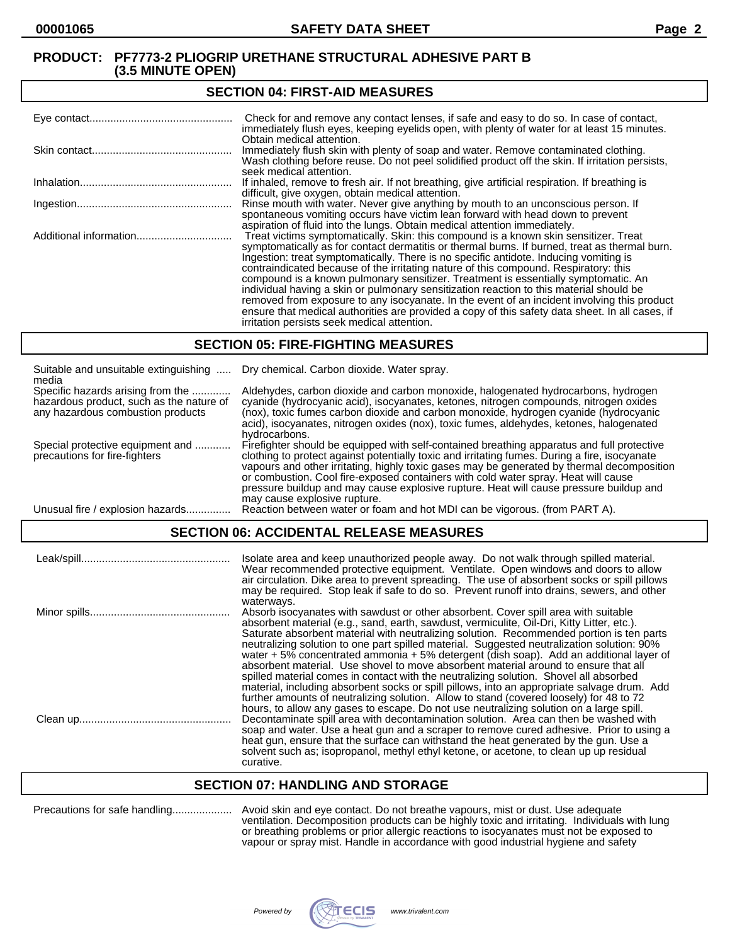#### **SECTION 04: FIRST-AID MEASURES**

| Check for and remove any contact lenses, if safe and easy to do so. In case of contact,<br>immediately flush eyes, keeping eyelids open, with plenty of water for at least 15 minutes.                                                                                                                                                                                                                                                                                                                                                                                                                                                                                                                                                                                                                   |
|----------------------------------------------------------------------------------------------------------------------------------------------------------------------------------------------------------------------------------------------------------------------------------------------------------------------------------------------------------------------------------------------------------------------------------------------------------------------------------------------------------------------------------------------------------------------------------------------------------------------------------------------------------------------------------------------------------------------------------------------------------------------------------------------------------|
| Obtain medical attention.<br>Immediately flush skin with plenty of soap and water. Remove contaminated clothing.<br>Wash clothing before reuse. Do not peel solidified product off the skin. If irritation persists,<br>seek medical attention.                                                                                                                                                                                                                                                                                                                                                                                                                                                                                                                                                          |
| If inhaled, remove to fresh air. If not breathing, give artificial respiration. If breathing is<br>difficult, give oxygen, obtain medical attention.                                                                                                                                                                                                                                                                                                                                                                                                                                                                                                                                                                                                                                                     |
| Rinse mouth with water. Never give anything by mouth to an unconscious person. If<br>spontaneous vomiting occurs have victim lean forward with head down to prevent<br>aspiration of fluid into the lungs. Obtain medical attention immediately.                                                                                                                                                                                                                                                                                                                                                                                                                                                                                                                                                         |
| Treat victims symptomatically. Skin: this compound is a known skin sensitizer. Treat<br>symptomatically as for contact dermatitis or thermal burns. If burned, treat as thermal burn.<br>Ingestion: treat symptomatically. There is no specific antidote. Inducing vomiting is<br>contraindicated because of the irritating nature of this compound. Respiratory: this<br>compound is a known pulmonary sensitizer. Treatment is essentially symptomatic. An<br>individual having a skin or pulmonary sensitization reaction to this material should be<br>removed from exposure to any isocyanate. In the event of an incident involving this product<br>ensure that medical authorities are provided a copy of this safety data sheet. In all cases, if<br>irritation persists seek medical attention. |

### **SECTION 05: FIRE-FIGHTING MEASURES**

| Suitable and unsuitable extinguishing<br>media                                                                     | Dry chemical. Carbon dioxide. Water spray.                                                                                                                                                                                                                                                                                                                                                                                                                                                                |
|--------------------------------------------------------------------------------------------------------------------|-----------------------------------------------------------------------------------------------------------------------------------------------------------------------------------------------------------------------------------------------------------------------------------------------------------------------------------------------------------------------------------------------------------------------------------------------------------------------------------------------------------|
| Specific hazards arising from the<br>hazardous product, such as the nature of<br>any hazardous combustion products | Aldehydes, carbon dioxide and carbon monoxide, halogenated hydrocarbons, hydrogen<br>cyanide (hydrocyanic acid), isocyanates, ketones, nitrogen compounds, nitrogen oxides<br>(nox), toxic fumes carbon dioxide and carbon monoxide, hydrogen cyanide (hydrocyanic<br>acid), isocyanates, nitrogen oxides (nox), toxic fumes, aldehydes, ketones, halogenated<br>hydrocarbons.                                                                                                                            |
| Special protective equipment and<br>precautions for fire-fighters                                                  | Firefighter should be equipped with self-contained breathing apparatus and full protective<br>clothing to protect against potentially toxic and irritating fumes. During a fire, isocyanate<br>vapours and other irritating, highly toxic gases may be generated by thermal decomposition<br>or combustion. Cool fire-exposed containers with cold water spray. Heat will cause<br>pressure buildup and may cause explosive rupture. Heat will cause pressure buildup and<br>may cause explosive rupture. |
| Unusual fire / explosion hazards                                                                                   | Reaction between water or foam and hot MDI can be vigorous. (from PART A).                                                                                                                                                                                                                                                                                                                                                                                                                                |

# **SECTION 06: ACCIDENTAL RELEASE MEASURES**

| Isolate area and keep unauthorized people away. Do not walk through spilled material.<br>Wear recommended protective equipment. Ventilate. Open windows and doors to allow<br>air circulation. Dike area to prevent spreading. The use of absorbent socks or spill pillows<br>may be required. Stop leak if safe to do so. Prevent runoff into drains, sewers, and other                                                                                                                                                                                                                                                                                                                                                                                                                                                                                                                                                                                    |
|-------------------------------------------------------------------------------------------------------------------------------------------------------------------------------------------------------------------------------------------------------------------------------------------------------------------------------------------------------------------------------------------------------------------------------------------------------------------------------------------------------------------------------------------------------------------------------------------------------------------------------------------------------------------------------------------------------------------------------------------------------------------------------------------------------------------------------------------------------------------------------------------------------------------------------------------------------------|
| waterways.<br>Absorb isocyanates with sawdust or other absorbent. Cover spill area with suitable<br>absorbent material (e.g., sand, earth, sawdust, vermiculite, Oil-Dri, Kitty Litter, etc.).<br>Saturate absorbent material with neutralizing solution. Recommended portion is ten parts<br>neutralizing solution to one part spilled material. Suggested neutralization solution: 90%<br>water $+5\%$ concentrated ammonia $+5\%$ detergent (dish soap). Add an additional layer of<br>absorbent material. Use shovel to move absorbent material around to ensure that all<br>spilled material comes in contact with the neutralizing solution. Shovel all absorbed<br>material, including absorbent socks or spill pillows, into an appropriate salvage drum. Add<br>further amounts of neutralizing solution. Allow to stand (covered loosely) for 48 to 72<br>hours, to allow any gases to escape. Do not use neutralizing solution on a large spill. |
| Decontaminate spill area with decontamination solution. Area can then be washed with<br>soap and water. Use a heat gun and a scraper to remove cured adhesive. Prior to using a<br>heat gun, ensure that the surface can withstand the heat generated by the gun. Use a<br>solvent such as; isopropanol, methyl ethyl ketone, or acetone, to clean up up residual<br>curative.                                                                                                                                                                                                                                                                                                                                                                                                                                                                                                                                                                              |

# **SECTION 07: HANDLING AND STORAGE**

| Precautions for safe handling |  |
|-------------------------------|--|
|-------------------------------|--|

Precautions for safe handling.................... Avoid skin and eye contact. Do not breathe vapours, mist or dust. Use adequate ventilation. Decomposition products can be highly toxic and irritating. Individuals with lung or breathing problems or prior allergic reactions to isocyanates must not be exposed to vapour or spray mist. Handle in accordance with good industrial hygiene and safety

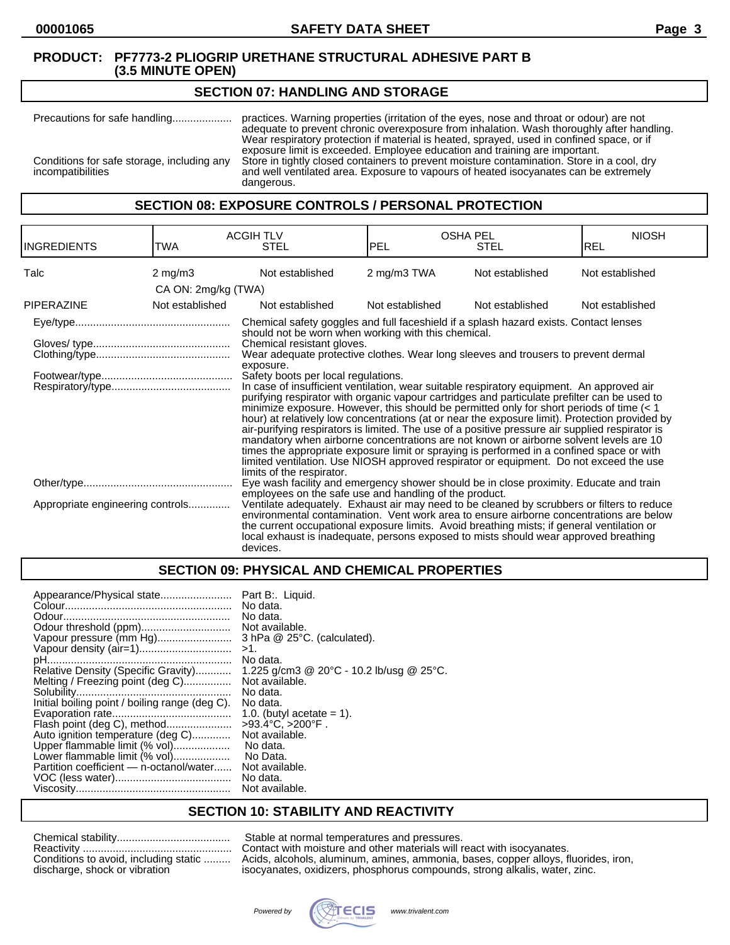### **SECTION 07: HANDLING AND STORAGE**

Precautions for safe handling.................... practices. Warning properties (irritation of the eyes, nose and throat or odour) are not adequate to prevent chronic overexposure from inhalation. Wash thoroughly after handling. Wear respiratory protection if material is heated, sprayed, used in confined space, or if exposure limit is exceeded. Employee education and training are important. Conditions for safe storage, including any<br>incompatibilities and well ventilated area. Exposure to vapours of heated isocyanates can be extremely<br>compatibilities and well ventilated area. Exposure to vapours of heated isocyanates can be extremely dangerous.

# **SECTION 08: EXPOSURE CONTROLS / PERSONAL PROTECTION**

| <b>INGREDIENTS</b>               | TWA                 | <b>ACGIH TLV</b><br><b>STEL</b>                                                                                                                                                                                                                                                                                                                                                                                                                                                                                                                                                                                                                                                                                                                                                                                                                                                                                                                                                                                                                                                                                                    | <b>OSHA PEL</b><br><b>PEL</b> | <b>STEL</b>     | <b>NIOSH</b><br><b>REL</b> |
|----------------------------------|---------------------|------------------------------------------------------------------------------------------------------------------------------------------------------------------------------------------------------------------------------------------------------------------------------------------------------------------------------------------------------------------------------------------------------------------------------------------------------------------------------------------------------------------------------------------------------------------------------------------------------------------------------------------------------------------------------------------------------------------------------------------------------------------------------------------------------------------------------------------------------------------------------------------------------------------------------------------------------------------------------------------------------------------------------------------------------------------------------------------------------------------------------------|-------------------------------|-----------------|----------------------------|
| Talc                             | $2 \text{ mg/m}$    | Not established                                                                                                                                                                                                                                                                                                                                                                                                                                                                                                                                                                                                                                                                                                                                                                                                                                                                                                                                                                                                                                                                                                                    | 2 mg/m3 TWA                   | Not established | Not established            |
|                                  | CA ON: 2mg/kg (TWA) |                                                                                                                                                                                                                                                                                                                                                                                                                                                                                                                                                                                                                                                                                                                                                                                                                                                                                                                                                                                                                                                                                                                                    |                               |                 |                            |
| <b>PIPERAZINE</b>                | Not established     | Not established                                                                                                                                                                                                                                                                                                                                                                                                                                                                                                                                                                                                                                                                                                                                                                                                                                                                                                                                                                                                                                                                                                                    | Not established               | Not established | Not established            |
|                                  |                     | Chemical safety goggles and full faceshield if a splash hazard exists. Contact lenses<br>should not be worn when working with this chemical.<br>Chemical resistant gloves.<br>Wear adequate protective clothes. Wear long sleeves and trousers to prevent dermal<br>exposure.<br>Safety boots per local regulations.<br>In case of insufficient ventilation, wear suitable respiratory equipment. An approved air<br>purifying respirator with organic vapour cartridges and particulate prefilter can be used to<br>minimize exposure. However, this should be permitted only for short periods of time $(< 1$<br>hour) at relatively low concentrations (at or near the exposure limit). Protection provided by<br>air-purifying respirators is limited. The use of a positive pressure air supplied respirator is<br>mandatory when airborne concentrations are not known or airborne solvent levels are 10<br>times the appropriate exposure limit or spraying is performed in a confined space or with<br>limited ventilation. Use NIOSH approved respirator or equipment. Do not exceed the use<br>limits of the respirator. |                               |                 |                            |
|                                  |                     | Eye wash facility and emergency shower should be in close proximity. Educate and train<br>employees on the safe use and handling of the product.                                                                                                                                                                                                                                                                                                                                                                                                                                                                                                                                                                                                                                                                                                                                                                                                                                                                                                                                                                                   |                               |                 |                            |
| Appropriate engineering controls |                     | Ventilate adequately. Exhaust air may need to be cleaned by scrubbers or filters to reduce<br>environmental contamination. Vent work area to ensure airborne concentrations are below<br>the current occupational exposure limits. Avoid breathing mists; if general ventilation or<br>local exhaust is inadequate, persons exposed to mists should wear approved breathing<br>devices.                                                                                                                                                                                                                                                                                                                                                                                                                                                                                                                                                                                                                                                                                                                                            |                               |                 |                            |

# **SECTION 09: PHYSICAL AND CHEMICAL PROPERTIES**

### **SECTION 10: STABILITY AND REACTIVITY**

| Conditions to avoid, including static |
|---------------------------------------|
| discharge, shock or vibration         |

Stable at normal temperatures and pressures. Contact with moisture and other materials will react with isocyanates. Acids, alcohols, aluminum, amines, ammonia, bases, copper alloys, fluorides, iron, isocyanates, oxidizers, phosphorus compounds, strong alkalis, water, zinc.

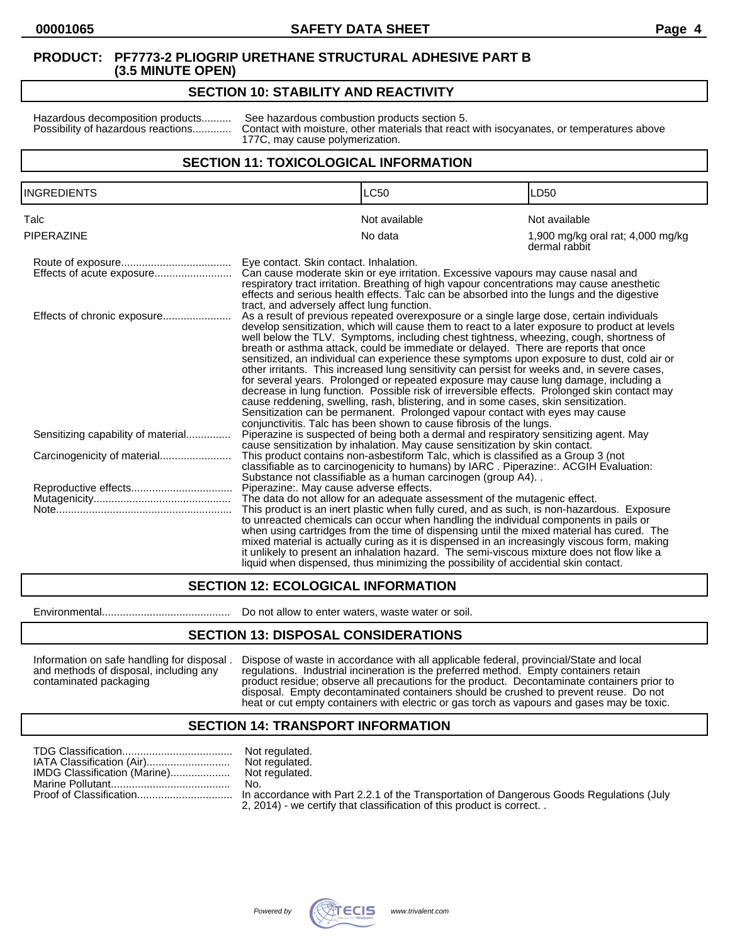# **SECTION 10: STABILITY AND REACTIVITY**

Hazardous decomposition products.......... See hazardous combustion products section 5.<br>Possibility of hazardous reactions............. Contact with moisture, other materials that reaction Contact with moisture, other materials that react with isocyanates, or temperatures above 177C, may cause polymerization.

# **SECTION 11: TOXICOLOGICAL INFORMATION**

| <b>INGREDIENTS</b>                 |                                                                                                                                                                                                                                                                                                                                                                                                                                                                                                                                                                                                                                                                                                                                                                                                                                                                                                                                                                                                                                                                | <b>LC50</b>                                                                                                                                                                                                                                                                                                                                                                                                                                                                                                                                                          | LD <sub>50</sub>                                   |
|------------------------------------|----------------------------------------------------------------------------------------------------------------------------------------------------------------------------------------------------------------------------------------------------------------------------------------------------------------------------------------------------------------------------------------------------------------------------------------------------------------------------------------------------------------------------------------------------------------------------------------------------------------------------------------------------------------------------------------------------------------------------------------------------------------------------------------------------------------------------------------------------------------------------------------------------------------------------------------------------------------------------------------------------------------------------------------------------------------|----------------------------------------------------------------------------------------------------------------------------------------------------------------------------------------------------------------------------------------------------------------------------------------------------------------------------------------------------------------------------------------------------------------------------------------------------------------------------------------------------------------------------------------------------------------------|----------------------------------------------------|
| Talc                               |                                                                                                                                                                                                                                                                                                                                                                                                                                                                                                                                                                                                                                                                                                                                                                                                                                                                                                                                                                                                                                                                | Not available                                                                                                                                                                                                                                                                                                                                                                                                                                                                                                                                                        | Not available                                      |
| PIPERAZINE                         |                                                                                                                                                                                                                                                                                                                                                                                                                                                                                                                                                                                                                                                                                                                                                                                                                                                                                                                                                                                                                                                                | No data                                                                                                                                                                                                                                                                                                                                                                                                                                                                                                                                                              | 1,900 mg/kg oral rat; 4,000 mg/kg<br>dermal rabbit |
| Effects of acute exposure          | Eye contact. Skin contact. Inhalation.                                                                                                                                                                                                                                                                                                                                                                                                                                                                                                                                                                                                                                                                                                                                                                                                                                                                                                                                                                                                                         | Can cause moderate skin or eye irritation. Excessive vapours may cause nasal and<br>respiratory tract irritation. Breathing of high vapour concentrations may cause anesthetic<br>effects and serious health effects. Talc can be absorbed into the lungs and the digestive                                                                                                                                                                                                                                                                                          |                                                    |
| Effects of chronic exposure        | tract, and adversely affect lung function.<br>As a result of previous repeated overexposure or a single large dose, certain individuals<br>develop sensitization, which will cause them to react to a later exposure to product at levels<br>well below the TLV. Symptoms, including chest tightness, wheezing, cough, shortness of<br>breath or asthma attack, could be immediate or delayed. There are reports that once<br>sensitized, an individual can experience these symptoms upon exposure to dust, cold air or<br>other irritants. This increased lung sensitivity can persist for weeks and, in severe cases,<br>for several years. Prolonged or repeated exposure may cause lung damage, including a<br>decrease in lung function. Possible risk of irreversible effects. Prolonged skin contact may<br>cause reddening, swelling, rash, blistering, and in some cases, skin sensitization.<br>Sensitization can be permanent. Prolonged vapour contact with eyes may cause<br>conjunctivitis. Talc has been shown to cause fibrosis of the lungs. |                                                                                                                                                                                                                                                                                                                                                                                                                                                                                                                                                                      |                                                    |
| Sensitizing capability of material |                                                                                                                                                                                                                                                                                                                                                                                                                                                                                                                                                                                                                                                                                                                                                                                                                                                                                                                                                                                                                                                                | Piperazine is suspected of being both a dermal and respiratory sensitizing agent. May<br>cause sensitization by inhalation. May cause sensitization by skin contact.                                                                                                                                                                                                                                                                                                                                                                                                 |                                                    |
|                                    |                                                                                                                                                                                                                                                                                                                                                                                                                                                                                                                                                                                                                                                                                                                                                                                                                                                                                                                                                                                                                                                                | This product contains non-asbestiform Talc, which is classified as a Group 3 (not<br>classifiable as to carcinogenicity to humans) by IARC. Piperazine:. ACGIH Evaluation:<br>Substance not classifiable as a human carcinogen (group A4)                                                                                                                                                                                                                                                                                                                            |                                                    |
|                                    | Piperazine:. May cause adverse effects.                                                                                                                                                                                                                                                                                                                                                                                                                                                                                                                                                                                                                                                                                                                                                                                                                                                                                                                                                                                                                        |                                                                                                                                                                                                                                                                                                                                                                                                                                                                                                                                                                      |                                                    |
|                                    |                                                                                                                                                                                                                                                                                                                                                                                                                                                                                                                                                                                                                                                                                                                                                                                                                                                                                                                                                                                                                                                                | The data do not allow for an adequate assessment of the mutagenic effect.                                                                                                                                                                                                                                                                                                                                                                                                                                                                                            |                                                    |
|                                    |                                                                                                                                                                                                                                                                                                                                                                                                                                                                                                                                                                                                                                                                                                                                                                                                                                                                                                                                                                                                                                                                | This product is an inert plastic when fully cured, and as such, is non-hazardous. Exposure<br>to unreacted chemicals can occur when handling the individual components in pails or<br>when using cartridges from the time of dispensing until the mixed material has cured. The<br>mixed material is actually curing as it is dispensed in an increasingly viscous form, making<br>it unlikely to present an inhalation hazard. The semi-viscous mixture does not flow like a<br>liquid when dispensed, thus minimizing the possibility of accidential skin contact, |                                                    |

# **SECTION 12: ECOLOGICAL INFORMATION**

Environmental........................................... Do not allow to enter waters, waste water or soil.

### **SECTION 13: DISPOSAL CONSIDERATIONS**

Information on safe handling for disposal . Dispose of waste in accordance with all applicable federal, provincial/State and local and methods of disposal, including any regulations. Industrial incineration is the preferre and methods of disposal, including any regulations. Industrial incineration is the preferred method. Empty containers retain<br>
product residue; observe all precautions for the product. Decontaminate containers product residue; observe all precautions for the product. Decontaminate containers prior to disposal. Empty decontaminated containers should be crushed to prevent reuse. Do not heat or cut empty containers with electric or gas torch as vapours and gases may be toxic.

### **SECTION 14: TRANSPORT INFORMATION**

|                              | Not regulated.                 |
|------------------------------|--------------------------------|
| IATA Classification (Air)    | Not regulated.                 |
| IMDG Classification (Marine) | Not regulated.                 |
|                              | No.                            |
|                              | In accordance<br>$- - - - - -$ |

ot regulated. accordance with Part 2.2.1 of the Transportation of Dangerous Goods Regulations (July 2, 2014) - we certify that classification of this product is correct. .